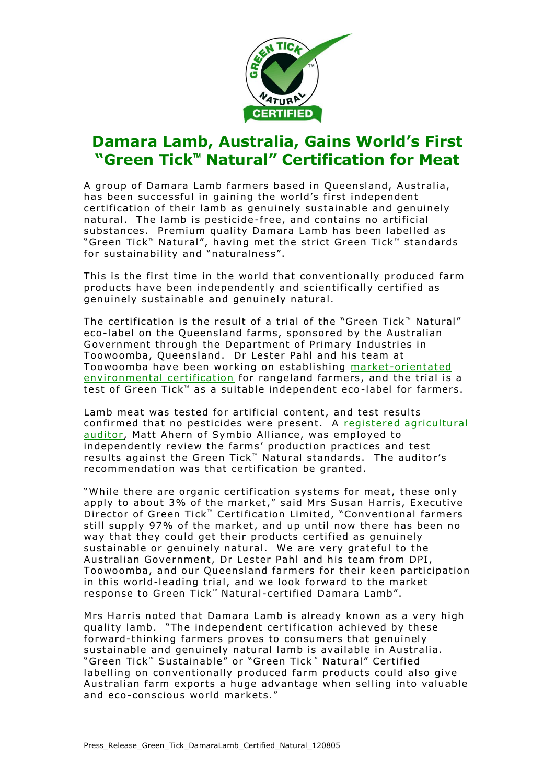

## **Damara Lamb, Australia, Gains World's First "Green Tick Natural" Certification for Meat**

A group of Damara Lamb farmers based in Queensland, Australia, has been successful in gaining the world's first independent certification of their lamb as genuinely sustainable and genuinely natural. The lamb is pesticide-free, and contains no artificial substances. Premium quality Damara Lamb has been labelled as "Green Tick" Natural", having met the strict Green Tick" standards for sustainability and "naturalness".

This is the first time in the world that conventionally produced farm products have been independently and scientifically certified as genuinely sustainable and genuinely natural.

The certification is the result of a trial of the "Green Tick" Natural" eco-label on the Queensland farms, sponsored by the Australian Government through the Department of Primary Industries in Toowoomba, Queensland. Dr Lester Pahl and his team at Toowoomba have been working on establishing market-orientated environmental certification for rangeland farmers, and the trial is a test of Green Tick<sup> $m$ </sup> as a suitable independent eco-label for farmers.

Lamb meat was tested for artificial content, and test results confirmed that no pesticides were present. A registered agricultural auditor, Matt Ahern of Symbio Alliance, was employed to independently review the farms' production practices and test results against the Green Tick<sup>"</sup> Natural standards. The auditor's recommendation was that certification be granted.

"While there are organic certification systems for meat, these only apply to about 3% of the market," said Mrs Susan Harris, Executive Director of Green Tick<sup>™</sup> Certification Limited, "Conventional farmers still supply 97% of the market, and up until now there has been no way that they could get their products certified as genuinely sustainable or genuinely natural. We are very grateful to the Australian Government, Dr Lester Pahl and his team from DPI, Toowoomba, and our Queensland farmers for their keen participation in this world-leading trial, and we look forward to the market response to Green Tick<sup>™</sup> Natural-certified Damara Lamb".

Mrs Harris noted that Damara Lamb is already known as a very high quality lamb. "The independent certification achieved by these forward-thinking farmers proves to consumers that genuinely sustainable and genuinely natural lamb is available in Australia. "Green Tick<sup>™</sup> Sustainable" or "Green Tick™ Natural" Certified labelling on conventionally produced farm products could also give Australian farm exports a huge advantage when selling into valuable and eco-conscious world markets."